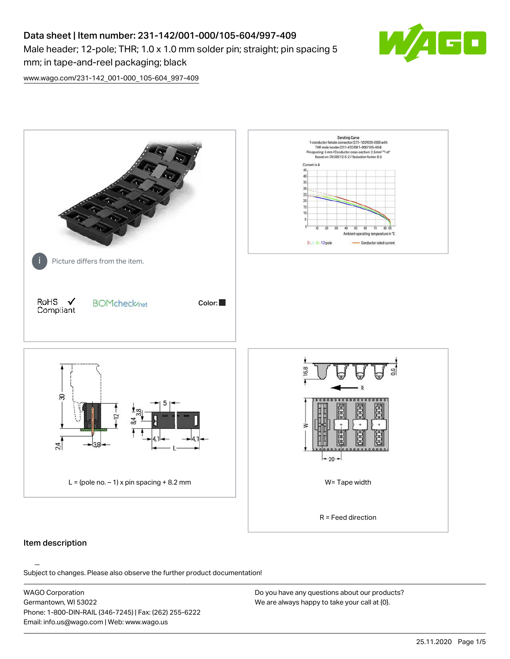# Data sheet | Item number: 231-142/001-000/105-604/997-409 Male header; 12-pole; THR; 1.0 x 1.0 mm solder pin; straight; pin spacing 5 mm; in tape-and-reel packaging; black



[www.wago.com/231-142\\_001-000\\_105-604\\_997-409](http://www.wago.com/231-142_001-000_105-604_997-409)



## Item description

Subject to changes. Please also observe the further product documentation!

WAGO Corporation Germantown, WI 53022 Phone: 1-800-DIN-RAIL (346-7245) | Fax: (262) 255-6222 Email: info.us@wago.com | Web: www.wago.us

Do you have any questions about our products? We are always happy to take your call at {0}.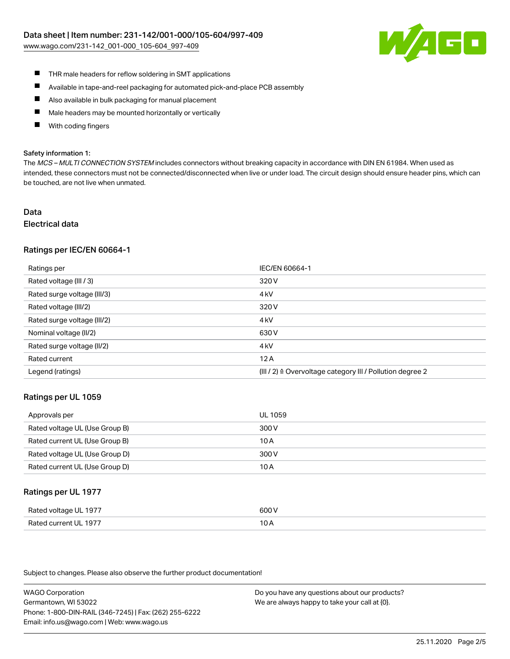

- $\blacksquare$ THR male headers for reflow soldering in SMT applications
- $\blacksquare$ Available in tape-and-reel packaging for automated pick-and-place PCB assembly
- $\blacksquare$ Also available in bulk packaging for manual placement
- П Male headers may be mounted horizontally or vertically
- П With coding fingers

#### Safety information 1:

The MCS - MULTI CONNECTION SYSTEM includes connectors without breaking capacity in accordance with DIN EN 61984. When used as intended, these connectors must not be connected/disconnected when live or under load. The circuit design should ensure header pins, which can be touched, are not live when unmated.

## Data Electrical data

## Ratings per IEC/EN 60664-1

| Ratings per                 | IEC/EN 60664-1                                                       |
|-----------------------------|----------------------------------------------------------------------|
| Rated voltage (III / 3)     | 320 V                                                                |
| Rated surge voltage (III/3) | 4 <sub>k</sub> V                                                     |
| Rated voltage (III/2)       | 320 V                                                                |
| Rated surge voltage (III/2) | 4 <sub>k</sub> V                                                     |
| Nominal voltage (II/2)      | 630 V                                                                |
| Rated surge voltage (II/2)  | 4 <sub>k</sub> V                                                     |
| Rated current               | 12A                                                                  |
| Legend (ratings)            | (III / 2) $\triangleq$ Overvoltage category III / Pollution degree 2 |

## Ratings per UL 1059

| Approvals per                  | UL 1059 |
|--------------------------------|---------|
| Rated voltage UL (Use Group B) | 300 V   |
| Rated current UL (Use Group B) | 10 A    |
| Rated voltage UL (Use Group D) | 300 V   |
| Rated current UL (Use Group D) | 10 A    |

## Ratings per UL 1977

| Rated voltage UL 1977    | coo V |
|--------------------------|-------|
| Current UL 1977<br>Rated | IUF   |

Subject to changes. Please also observe the further product documentation!

WAGO Corporation Germantown, WI 53022 Phone: 1-800-DIN-RAIL (346-7245) | Fax: (262) 255-6222 Email: info.us@wago.com | Web: www.wago.us

Do you have any questions about our products? We are always happy to take your call at {0}.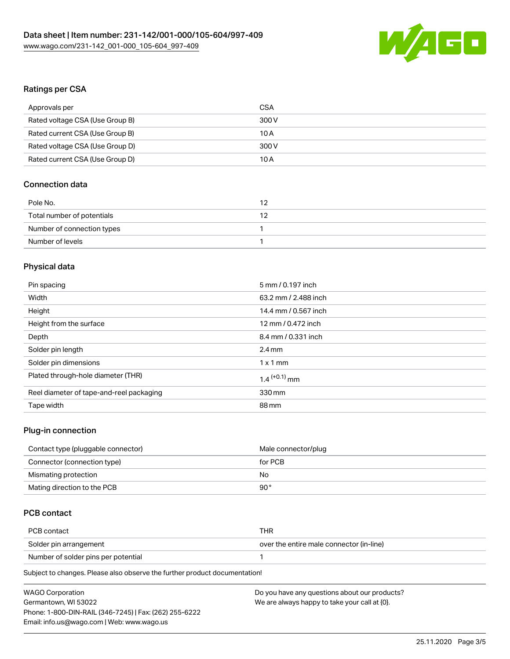

## Ratings per CSA

| Approvals per                   | CSA   |
|---------------------------------|-------|
| Rated voltage CSA (Use Group B) | 300 V |
| Rated current CSA (Use Group B) | 10 A  |
| Rated voltage CSA (Use Group D) | 300 V |
| Rated current CSA (Use Group D) | 10 A  |

## Connection data

| Pole No.                   | 12  |
|----------------------------|-----|
| Total number of potentials | 1 2 |
| Number of connection types |     |
| Number of levels           |     |

## Physical data

| Pin spacing                              | 5 mm / 0.197 inch          |
|------------------------------------------|----------------------------|
| Width                                    | 63.2 mm / 2.488 inch       |
| Height                                   | 14.4 mm / 0.567 inch       |
| Height from the surface                  | 12 mm / 0.472 inch         |
| Depth                                    | 8.4 mm / 0.331 inch        |
| Solder pin length                        | $2.4 \text{ mm}$           |
| Solder pin dimensions                    | $1 \times 1$ mm            |
| Plated through-hole diameter (THR)       | $1.4$ <sup>(+0.1)</sup> mm |
| Reel diameter of tape-and-reel packaging | 330 mm                     |
| Tape width                               | 88 mm                      |
|                                          |                            |

## Plug-in connection

| Contact type (pluggable connector) | Male connector/plug |
|------------------------------------|---------------------|
| Connector (connection type)        | for PCB             |
| Mismating protection               | No                  |
| Mating direction to the PCB        | 90°                 |

## PCB contact

| PCB contact                         | THR                                      |
|-------------------------------------|------------------------------------------|
| Solder pin arrangement              | over the entire male connector (in-line) |
| Number of solder pins per potential |                                          |
|                                     |                                          |

Subject to changes. Please also observe the further product documentation!

| <b>WAGO Corporation</b>                                | Do you have any questions about our products? |
|--------------------------------------------------------|-----------------------------------------------|
| Germantown, WI 53022                                   | We are always happy to take your call at {0}. |
| Phone: 1-800-DIN-RAIL (346-7245)   Fax: (262) 255-6222 |                                               |
| Email: info.us@wago.com   Web: www.wago.us             |                                               |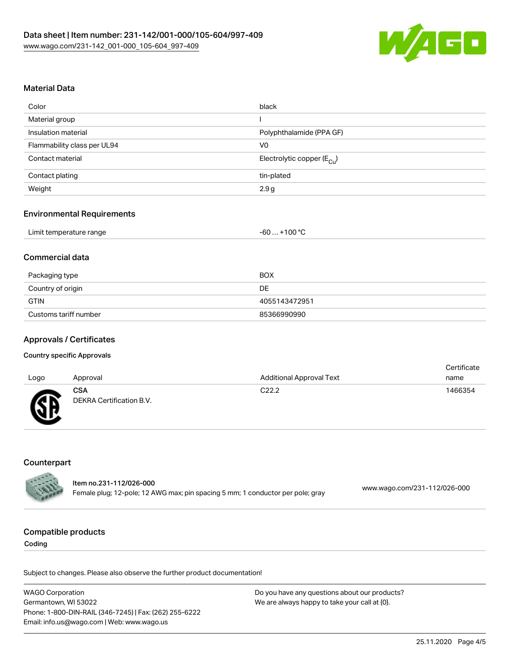

## Material Data

| Color                       | black                                 |
|-----------------------------|---------------------------------------|
| Material group              |                                       |
| Insulation material         | Polyphthalamide (PPA GF)              |
| Flammability class per UL94 | V <sub>0</sub>                        |
| Contact material            | Electrolytic copper $(E_{\text{Cl}})$ |
| Contact plating             | tin-plated                            |
| Weight                      | 2.9 g                                 |

### Environmental Requirements

| Limit temperature range<br>-60<br>___ | . +100 ℃ |
|---------------------------------------|----------|
|---------------------------------------|----------|

## Commercial data

| Packaging type        | BOX           |
|-----------------------|---------------|
| Country of origin     | DE            |
| GTIN                  | 4055143472951 |
| Customs tariff number | 85366990990   |

## Approvals / Certificates

#### Country specific Approvals

| Logo   | Approval                               | <b>Additional Approval Text</b> | Certificate<br>name |
|--------|----------------------------------------|---------------------------------|---------------------|
| Ж<br>∼ | <b>CSA</b><br>DEKRA Certification B.V. | C <sub>22.2</sub>               | 1466354             |

## **Counterpart**

| <b>CALLED</b> | ltem no.231-112/026-000                                                        |                              |
|---------------|--------------------------------------------------------------------------------|------------------------------|
|               | Female plug; 12-pole; 12 AWG max; pin spacing 5 mm; 1 conductor per pole; gray | www.wago.com/231-112/026-000 |

## Compatible products

Coding

Subject to changes. Please also observe the further product documentation!

WAGO Corporation Germantown, WI 53022 Phone: 1-800-DIN-RAIL (346-7245) | Fax: (262) 255-6222 Email: info.us@wago.com | Web: www.wago.us Do you have any questions about our products? We are always happy to take your call at {0}.